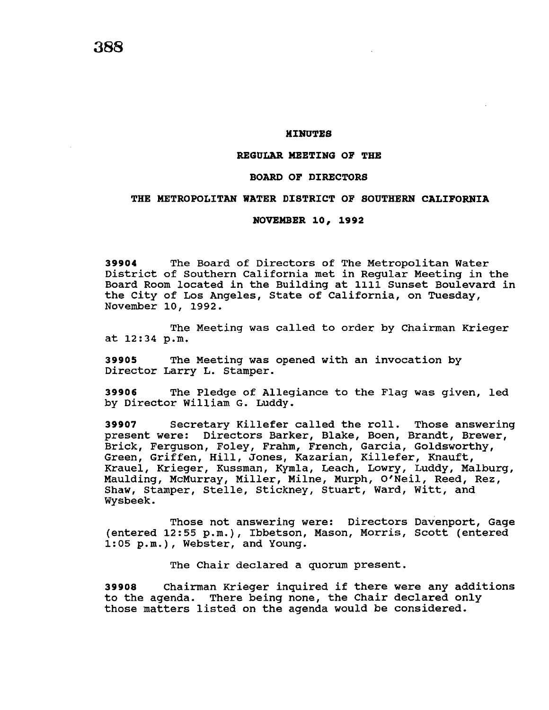## **MINUTES**

### **REGULAR MEETING OF THE**

# **BOARD OF DIRECTORS**

# **THE METROPOLITAN WATER DISTRICT OF SOUTHERN CALIFORNIA**

#### **NOVEMBER 10, 1992**

**39904** The Board of Directors of The Metropolitan Water District of Southern California met in Regular Meeting in the Board Room located in the Building at 1111 Sunset Boulevard in the City of Los Angeles, State of California, on Tuesday, November 10, 1992.

The Meeting was called to order by Chairman Krieger at 12:34 p.m.

**39905** The Meeting was opened with an invocation by Director Larry L. Stamper.

**39906** The Pledge of Allegiance to the Flag was given, led by Director William G. Luddy.

**<sup>39907</sup>**Secretary Killefer called the roll. Those answering present were: Directors Barker, Blake, Boen, Brandt, Brewer, Brick, Ferguson, Foley, Frahm, French, Garcia, Goldsworthy, Green, Griffen, Hill, Jones, Kazarian, Killefer, Knauft, Krauel, Krieger, Kussman, Kymla, Leach, Lowry, Luddy, Malburg, Maulding, McMurray, Miller, Milne, Murph, O'Neil, Reed, Rez, Shaw, Stamper, Stelle, Stickney, Stuart, Ward, Witt, and Wysbeek.

Those not answering were: Directors Davenport, Gage (entered 12:55 p.m.), Ibbetson, Mason, Morris, Scott (entered 1:05 p.m.), Webster, and Young.

The Chair declared a quorum present.

**<sup>39908</sup>**Chairman Krieger inquired if there were any additions to the agenda. There being none, the Chair declared only those matters listed on the agenda would be considered.

**388**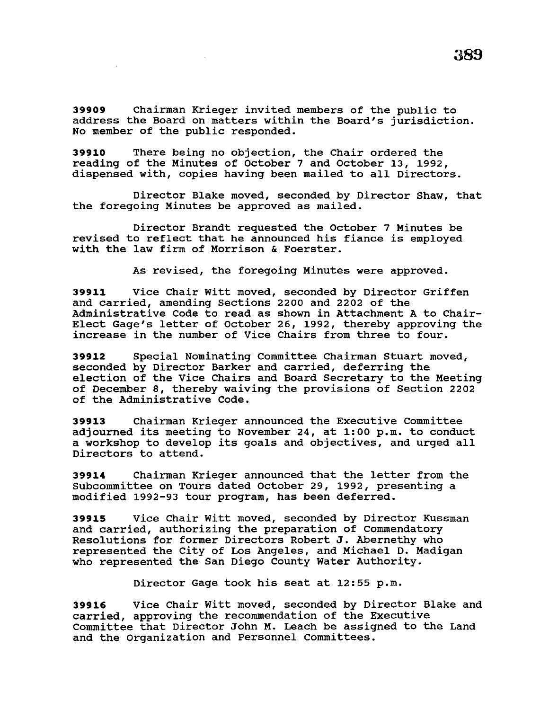**39909** Chairman Krieger invited members of the public to address the Board on matters within the Board's jurisdiction. No member of the public responded.

**39910** There being no objection, the Chair ordered the reading of the Minutes of October 7 and October 13, 1992, dispensed with, copies having been mailed to all Directors.

Director Blake moved, seconded by Director Shaw, that the foregoing Minutes be approved as mailed.

Director Brandt requested the October 7 Minutes be revised to reflect that he announced his fiance is employed with the law firm of Morrison & Foerster.

As revised, the foregoing Minutes were approved.

**39911** Vice Chair Witt moved, seconded by Director Griffen and carried, amending Sections 2200 and 2202 of the Administrative Code to read as shown in Attachment A to Chair-Elect Gage's letter of October 26, 1992, thereby approving the increase in the number of Vice Chairs from three to four.

**39912** Special Nominating Committee Chairman stuart moved, seconded by Director Barker and carried, deferring the election of the Vice Chairs and Board Secretary to the Meeting of December 8, thereby waiving the provisions of Section 2202 of the Administrative Code.

**39913** Chairman Krieger announced the Executive Committee adjourned its meeting to November 24, at 1:00 p.m. to conduct a workshop to develop its goals and objectives, and urged all Directors to attend.

**<sup>39914</sup>**Chairman Krieger announced that the letter from the Subcommittee on Tours dated October 29, 1992, presenting a modified 1992-93 tour program, has been deferred.

**39915** Vice Chair Witt moved, seconded by Director Kussman and carried, authorizing the preparation of Commendatory Resolutions for former Directors Robert J. Abernethy who represented the City of Los Angeles, and Michael D. Madigan who represented the San Diego County Water Authority.

Director Gage took his seat at 12:55 p.m.

**39916** Vice Chair Witt moved, seconded by Director Blake and carried, approving the recommendation of the Executive Committee that Director John M. Leach be assigned to the Land and the Organization and Personnel Committees.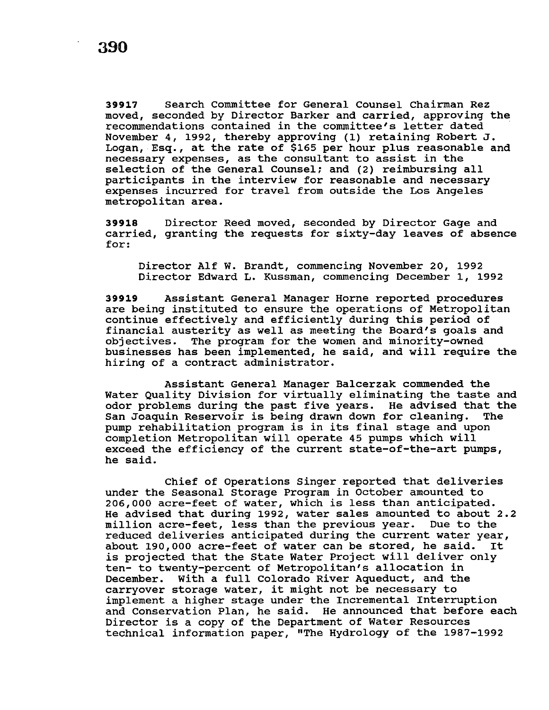**39917** search Committee for General Counsel Chairman Rez moved, seconded by Director Barker and carried, approving the recommendations contained in the committee's letter dated November 4, 1992, thereby approving (1) retaining Robert J. Logan, Esq., at the rate of \$165 per hour plus reasonable and necessary expenses, as the consultant to assist in the selection of the General Counsel; and (2) reimbursing all participants in the interview for reasonable and necessary expenses incurred for travel from outside the Los Angeles metropolitan area.

**39918** Director Reed moved, seconded by Director Gage and carried, granting the requests for sixty-day leaves of absence for:

Director Alf W. Brandt, commencing November 20, 1992 Director Edward L. Kussman, commencing December 1, 1992

**39919** Assistant General Manager Horne reported procedures are being instituted to ensure the operations of Metropolitan continue effectively and efficiently during this period of financial austerity as well as meeting the Board's goals and objectives. The program for the women and minority-owned businesses has been implemented, he said, and will require the hiring of a contract administrator.

Assistant General Manager Balcerzak commended the Water Quality Division for virtually eliminating the taste and odor problems during the past five years. He advised that the San Joaquin Reservoir is being drawn down for cleaning. The pump rehabilitation program is in its final stage and upon completion Metropolitan will operate 45 pumps which will exceed the efficiency of the current state-of-the-art pumps, he said.

Chief of Operations Singer reported that deliveries under the Seasonal Storage Program in October amounted to 206,000 acre-feet of water, which is less than anticipated. He advised that during 1992, water sales amounted to about 2.2 million acre-feet, less than the previous year. Due to the reduced deliveries anticipated during the current water year,<br>about 190.000 acre-feet of water can be stored, he said. It about 190,000 acre-feet of water can be stored, he said. is projected that the state Water Project will deliver only ten- to twenty-percent of Metropolitan's allocation in December. With a full Colorado River Aqueduct, and the carryover storage water, it might not be necessary to implement a higher stage under the Incremental Interruption and Conservation Plan, he said. He announced that before each Director is a copy of the Department of Water Resources technical information paper, "The Hydrology of the 1987-1992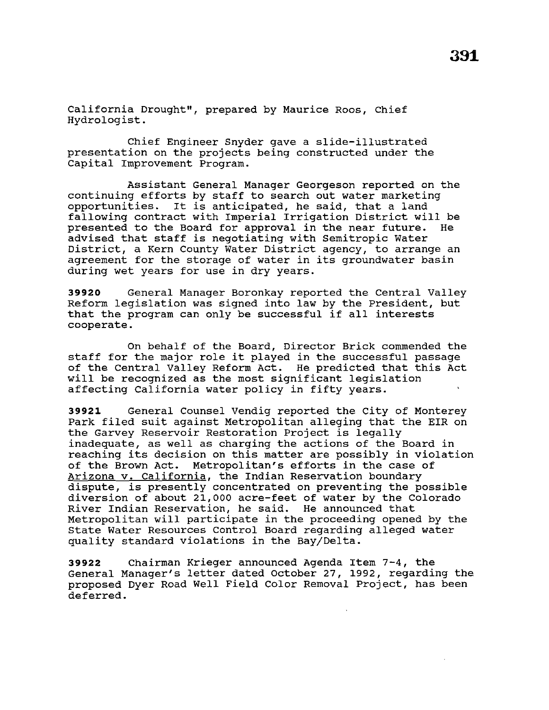California Drought", prepared by Maurice Roos, Chief Hydrologist.

Chief Engineer Snyder gave a slide-illustrated presentation on the projects being constructed under the Capital Improvement Program.

Assistant General Manager Georgeson reported on the continuing efforts by staff to search out water marketing opportunities. It is anticipated, he said, that a land fallowing contract with Imperial Irrigation District will be<br>presented to the Board for approval in the near future. He presented to the Board for approval in the near future. advised that staff is negotiating with Semitropic Water District, a Kern County Water District agency, to arrange an agreement for the storage of water in its groundwater basin during wet years for use in dry years.

**39920** General Manager Boronkay reported the Central Valley Reform legislation was signed into law by the President, but that the program can only be successful if all interests cooperate.

On behalf of the Board, Director Brick commended the staff for the major role it played in the successful passage of the Central Valley Reform Act. He predicted that this Act will be recognized as the most significant legislation affecting California water policy in fifty years.

**39921** General Counsel Vendig reported the city of Monterey Park filed suit against Metropolitan alleging that the EIR on the Garvey Reservoir Restoration Project is legally inadequate, as well as charging the actions of the Board in reaching its decision on this matter are possibly in violation of the Brown Act. Metropolitan's efforts in the case of Arizona v. California, the Indian Reservation boundary dispute, is presently concentrated on preventing the possible diversion of about 21,000 acre-feet of water by the Colorado River Indian Reservation, he said. He announced that Metropolitan will participate in the proceeding opened by the State Water Resources Control Board regarding alleged water quality standard violations in the Bay/Delta.

**39922** Chairman Krieger announced Agenda Item 7-4, the General Manager's letter dated october 27, 1992, regarding the proposed Dyer Road Well Field Color Removal Project, has been deferred.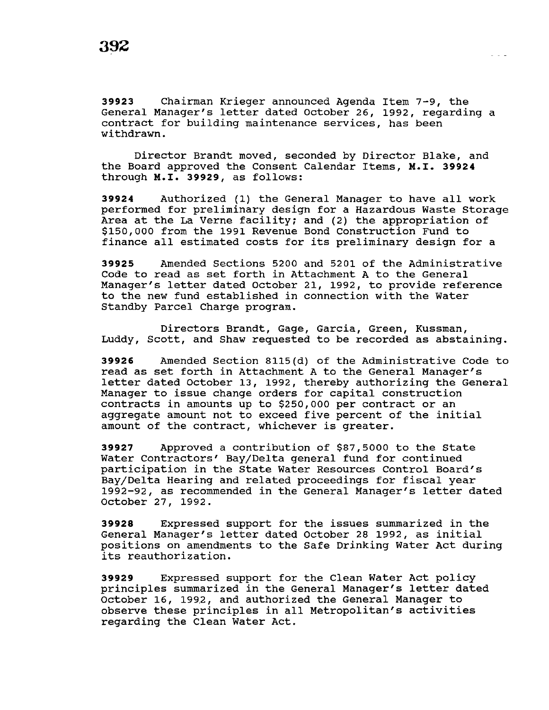**39923** Chairman Krieger announced Agenda Item 7-9, the General Manager's letter dated october 26, 1992, regarding a contract for building maintenance services, has been withdrawn.

Director Brandt moved, seconded by Director Blake, and the Board approved the Consent Calendar Items, M.I. **39924**  through M.I. **39929,** as follows:

**39924** Authorized (1) the General Manager to have all work performed for preliminary design for a Hazardous Waste Storage Area at the La Verne facility; and (2) the appropriation of \$150,000 from the 1991 Revenue Bond Construction Fund to finance all estimated costs for its preliminary design for a

**39925** Amended Sections 5200 and 5201 of the Administrative Code to read as set forth in Attachment A to the General Manager's letter dated October 21, 1992, to provide reference to the new fund established in connection with the Water Standby Parcel Charge program.

Directors Brandt, Gage, Garcia, Green, Kussman, Luddy, Scott, and Shaw requested to be recorded as abstaining.

**39926** Amended Section 8115(d) of the Administrative Code to read as set forth in Attachment A to the General Manager's letter dated October 13, 1992, thereby authorizing the General Manager to issue change orders for capital construction contracts *in* amounts up to \$250,000 per contract or an aggregate amount not to exceed five percent of the initial amount of the contract, whichever is greater.

**39927** Approved a contribution of \$87,5000 to the state Water Contractors' Bay/Delta general fund for continued participation in the State Water Resources Control Board's Bay/Delta Hearing and related proceedings for fiscal year 1992-92, as recommended in the General Manager's letter dated October 27, 1992.

**39928** Expressed support for the issues summarized *in* the General Manager's letter dated October 28 1992, as initial positions on amendments to the Safe Drinking Water Act during its reauthorization.

**39929** Expressed support for the Clean Water Act policy principles summarized in the General Manager's letter dated October 16, 1992, and authorized the General Manager to observe these principles in all Metropolitan's activities regarding the Clean Water Act.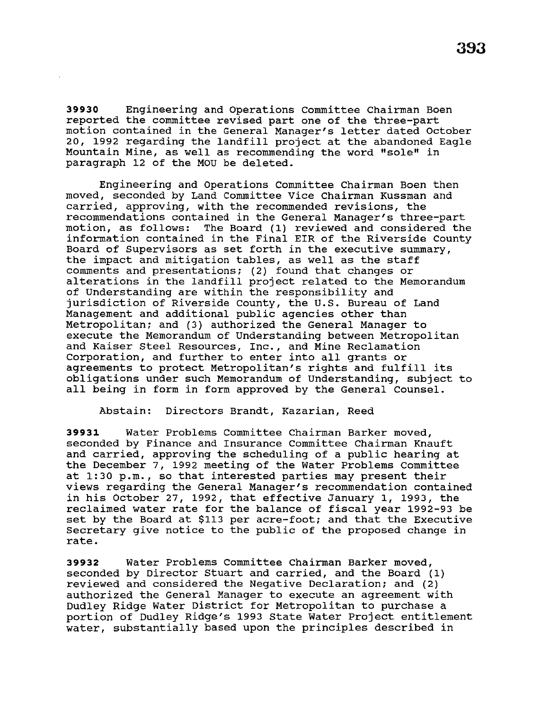**39930** Engineering and Operations Committee Chairman Boen reported the committee revised part one of the three-part motion contained in the General Manager's letter dated October 20, 1992 regarding the landfill project at the abandoned Eagle Mountain Mine, as well as recommending the word "sole" in paragraph 12 of the MOU be deleted.

Engineering and Operations Committee Chairman Boen then moved, seconded by Land Committee Vice Chairman Kussman and carried, approving, with the recommended revisions, the recommendations contained in the General Manager's three-part motion, as follows: The Board (1) reviewed and considered the information contained in the Final EIR of the Riverside County Board of Supervisors as set forth in the executive summary, the impact and mitigation tables, as well as the staff comments and presentations; (2) found that changes or alterations in the landfill project related to the Memorandum of Understanding are within the responsibility and jurisdiction of Riverside County, the U.S. Bureau of Land Management and additional public agencies other than Metropolitan; and (3) authorized the General Manager to execute the Memorandum of Understanding between Metropolitan and Kaiser Steel Resources, Inc., and Mine Reclamation Corporation, and further to enter into all grants or agreements to protect Metropolitan's rights and fulfill its obligations under such Memorandum of Understanding, subject to all being in form in form approved by the General Counsel.

Abstain: Directors Brandt, Kazarian, Reed

**39931** Water Problems Committee Chairman Barker moved, seconded by Finance and Insurance Committee Chairman Knauft and carried, approving the scheduling of a public hearing at the December 7, 1992 meeting of the Water Problems Committee at 1:30 p.m., so that interested parties may present their views regarding the General Manager's recommendation contained in his October 27, 1992, that effective January 1, 1993, the reclaimed water rate for the balance of fiscal year 1992-93 be set by the Board at \$113 per acre-foot; and that the Executive Secretary give notice to the public of the proposed change in rate.

**39932** Water Problems Committee Chairman Barker moved, seconded by Director stuart and carried, and the Board (1) reviewed and considered the Negative Declaration; and (2) authorized the General Manager to execute an agreement with Dudley Ridge Water District for Metropolitan to purchase a portion of Dudley Ridge's 1993 State Water Project entitlement water, substantially based upon the principles described in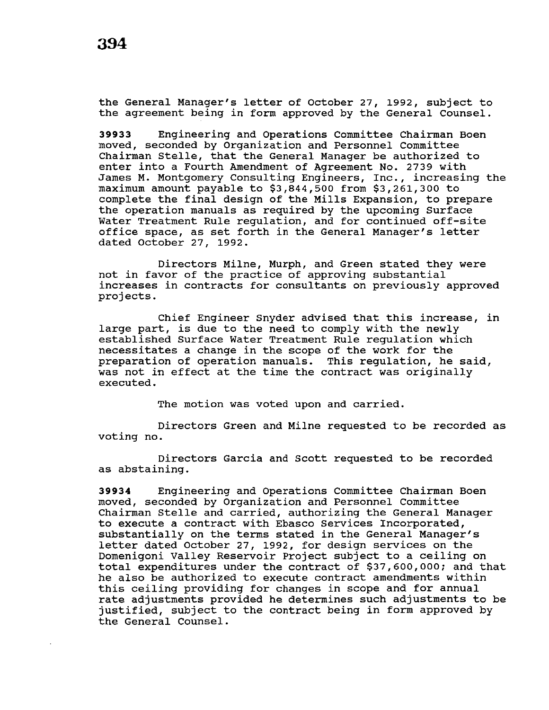the General Manager's letter of October 27, 1992, subject to the agreement being in form approved by the General counsel.

**39933** Engineering and Operations Committee Chairman Been moved, seconded by Organization and Personnel Committee Chairman Stelle, that the General Manager be authorized to enter into a Fourth Amendment of Agreement No. 2739 with James M. Montgomery Consulting Engineers, Inc., increasing the maximum amount payable to \$3,844,500 from \$3,261,300 to complete the final design of the Mills Expansion, to prepare the operation manuals as required by the upcoming Surface Water Treatment Rule regulation, and for continued off-site office space, as set forth in the General Manager's letter dated October 27, 1992.

Directors Milne, Murph, and Green stated they were not in favor of the practice of approving substantial increases in contracts for consultants on previously approved projects.

Chief Engineer Snyder advised that this increase, in large part, is due to the need to comply with the newly established Surface Water Treatment Rule regulation which necessitates a change in the scope of the work for the preparation of operation manuals. This regulation, he said, was not in effect at the time the contract was originally executed.

The motion was voted upon and carried.

Directors Green and Milne requested to be recorded as voting no.

Directors Garcia and Scott requested to be recorded as abstaining.

**39934** Engineering and Operations Committee Chairman Been moved, seconded by Organization and Personnel Committee Chairman Stelle and carried, authorizing the General Manager to execute a contract with Ebasco Services Incorporated, substantially on the terms stated in the General Manager's letter dated October 27, 1992, for design services on the Domenigoni Valley Reservoir Project subject to a ceiling on total expenditures under the contract of \$37,600,000; and that he also be authorized to execute contract amendments within this ceiling providing for changes in scope and for annual rate adjustments provided he determines such adjustments to be justified, subject to the contract being in form approved by the General Counsel.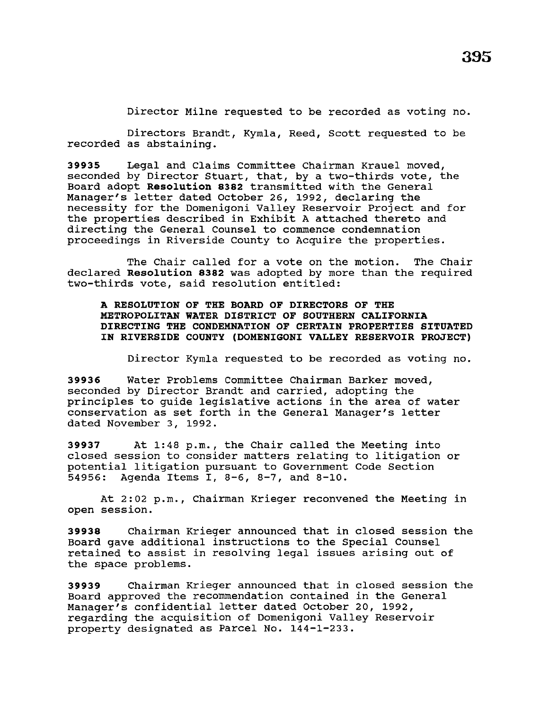Director Milne requested to be recorded as voting no.

Directors Brandt, Kymla, Reed, Scott requested to be recorded as abstaining.

**39935** Legal and Claims Committee Chairman Krauel moved, seconded by Director Stuart, that, by a two-thirds vote, the Board adopt **Resolution 8382** transmitted with the General Manager's letter dated October 26, 1992, declaring the necessity for the Domenigoni Valley Reservoir Project and for the properties described in Exhibit A attached thereto and directing the General Counsel to commence condemnation proceedings in Riverside County to Acquire the properties.

The Chair called for a vote on the motion. The Chair declared **Resolution 8382** was adopted by more than the required two-thirds vote, said resolution entitled:

**A RESOLUTION OF THE BOARD OF DIRECTORS OF THE METROPOLITAN WATER DISTRICT OF SOUTHERN CALIFORNIA DIRECTING THE CONDEMNATION OF CERTAIN PROPERTIES SITUATED IN RIVERSIDE COUNTY (DOMENIGONI VALLEY RESERVOIR PROJECT)** 

Director Kyrnla requested to be recorded as voting no.

**39936** Water Problems Committee Chairman Barker moved, seconded by Director Brandt and carried, adopting the principles to guide legislative actions in the area of water conservation as set forth in the General Manager's letter dated November 3, 1992.

**39937** At 1:48 p.m., the Chair called the Meeting into closed session to consider matters relating to litigation or potential litigation pursuant to Government Code Section<br>54956: Agenda Items I, 8-6, 8-7, and 8-10. Agenda Items I, 8-6, 8-7, and 8-10.

At 2:02 p.m., Chairman Krieger reconvened the Meeting in open session.

**39938** Chairman Krieger announced that in closed session the Board gave additional instructions to the Special Counsel retained to assist in resolving legal issues arising out of the space problems.

**39939** Chairman Krieger announced that in closed session the Board approved the recommendation contained in the General Manager's confidential letter dated October 20, 1992, regarding the acquisition of Domenigoni Valley Reservoir property designated as Parcel No. 144-1-233.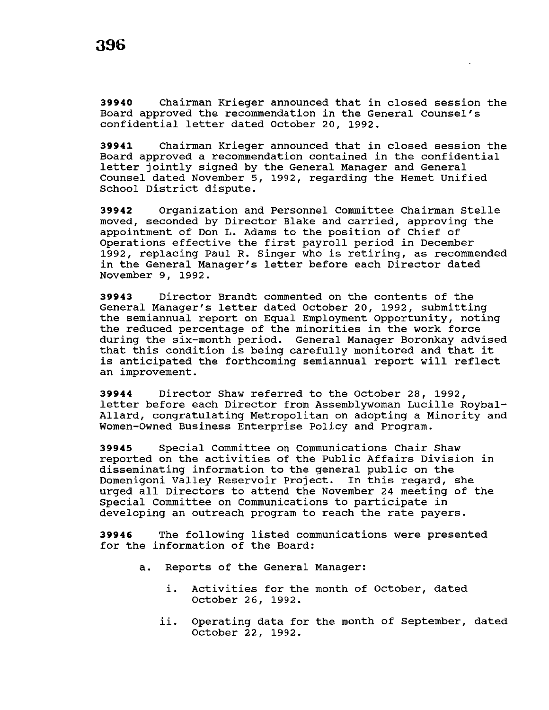**39940** Chairman Krieger announced that in closed session the Board approved the recommendation in the General Counsel's confidential letter dated October 20, 1992.

**39941** Chairman Krieger announced that in closed session the Board approved a recommendation contained in the confidential letter jointly signed by the General Manager and General Counsel dated November 5, 1992, regarding the Hemet Unified School District dispute.

**39942** Organization and Personnel Committee Chairman Stelle moved, seconded by Director Blake and carried, approving the appointment of Don L. Adams to the position of Chief of Operations effective the first payroll period in December 1992, replacing Paul R. Singer who is retiring, as recommended in the General Manager's letter before each Director dated November 9, 1992.

**39943** Director Brandt commented on the contents of the General Manager's letter dated October 20, 1992, submitting the semiannual report on Equal Employment Opportunity, noting the reduced percentage of the minorities in the work force during the six-month period. General Manager Boronkay advised that this condition is being carefully monitored and that it is anticipated the forthcoming semiannual report will reflect an improvement.

**39944** Director Shaw referred to the October 28, 1992, letter before each Director from Assemblywoman Lucille Roybal-Allard, congratulating Metropolitan on adopting a Minority and Women-Owned Business Enterprise Policy and Program.

**39945** Special Committee on Communications Chair Shaw reported on the activities of the Public Affairs Division in disseminating information to the general public on the Domenigoni Valley Reservoir Project. In this regard, she urged all Directors to attend the November 24 meeting of the Special Committee on Communications to participate in developing an outreach program to reach the rate payers.

**39946** The following listed communications were presented for the information of the Board:

- a. Reports of the General Manager:
	- i. Activities for the month of October, dated October 26, 1992.
	- ii. Operating data for the month of September, dated October 22, 1992.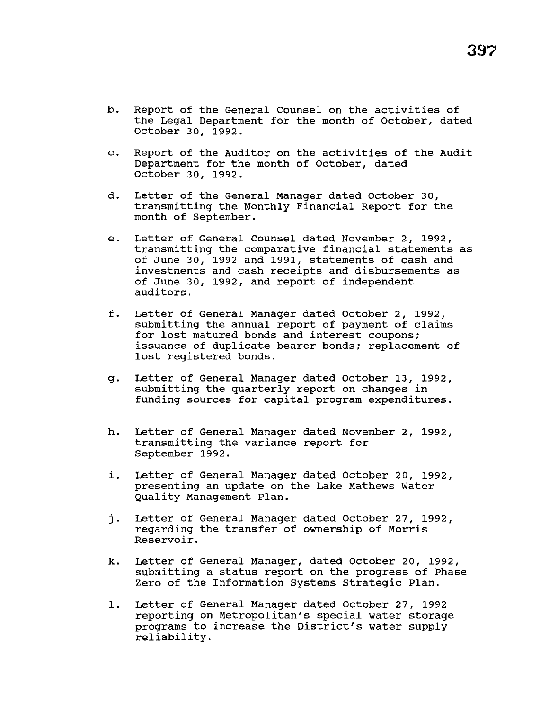- b. Report of the General Counsel on the activities of the Legal Department for the month of October, dated October 30, 1992.
- c. Report of the Auditor on the activities of the Audit Department for the month of October, dated October 30, 1992.
- d. Letter of the General Manager dated October 30, transmitting the Monthly Financial Report for the month of September.
- e. Letter of General Counsel dated November 2, 1992, transmitting the comparative financial statements as of June 30, 1992 and 1991, statements of cash and investments and cash receipts and disbursements as of June 30, 1992, and report of independent auditors.
- f. Letter of General Manager dated October 2, 1992, submitting the annual report of payment of claims for lost matured bonds and interest coupons; issuance of duplicate bearer bonds; replacement of lost registered bonds.
- g. Letter of General Manager dated October 13, 1992, submitting the quarterly report on changes in funding sources for capital program expenditures.
- h. Letter of General Manager dated November 2, 1992, transmitting the variance report for September 1992.
- i. Letter of General Manager dated October 20, 1992, presenting an update on the Lake Mathews Water Quality Management Plan.
- j. Letter of General Manager dated October 27, 1992, regarding the transfer of ownership of Morris Reservoir.
- k. Letter of General Manager, dated October 20, 1992, submitting a status report on the progress of Phase Zero of the Information Systems strategic Plan.
- 1. Letter of General Manager dated October 27, 1992 reporting on Metropolitan's special water storage programs to increase the District's water supply reliability.